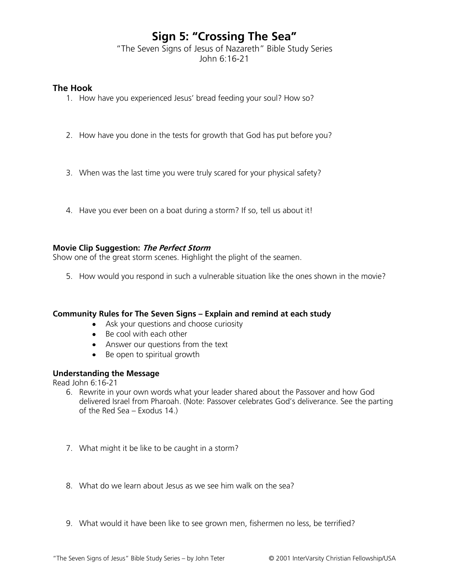# **Sign 5: "Crossing The Sea"**

"The Seven Signs of Jesus of Nazareth" Bible Study Series John 6:16-21

## **The Hook**

- 1. How have you experienced Jesus' bread feeding your soul? How so?
- 2. How have you done in the tests for growth that God has put before you?
- 3. When was the last time you were truly scared for your physical safety?
- 4. Have you ever been on a boat during a storm? If so, tell us about it!

## **Movie Clip Suggestion: The Perfect Storm**

Show one of the great storm scenes. Highlight the plight of the seamen.

5. How would you respond in such a vulnerable situation like the ones shown in the movie?

### **Community Rules for The Seven Signs – Explain and remind at each study**

- Ask your questions and choose curiosity
- Be cool with each other
- Answer our questions from the text
- Be open to spiritual growth

# **Understanding the Message**

Read John 6:16-21

- 6. Rewrite in your own words what your leader shared about the Passover and how God delivered Israel from Pharoah. (Note: Passover celebrates God's deliverance. See the parting of the Red Sea – Exodus 14.)
- 7. What might it be like to be caught in a storm?
- 8. What do we learn about Jesus as we see him walk on the sea?
- 9. What would it have been like to see grown men, fishermen no less, be terrified?